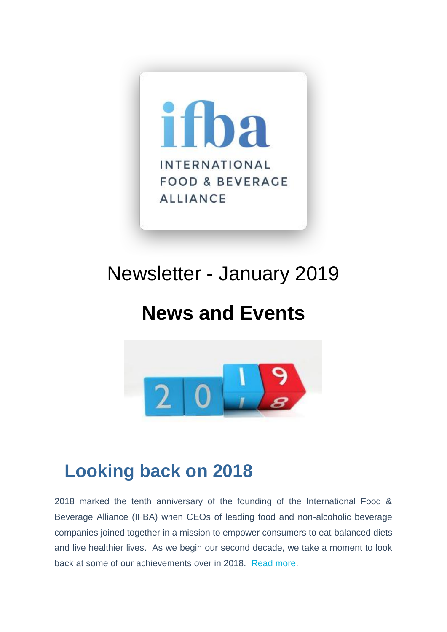

# Newsletter - January 2019

## **News and Events**



## **Looking back on 2018**

2018 marked the tenth anniversary of the founding of the International Food & Beverage Alliance (IFBA) when CEOs of leading food and non-alcoholic beverage companies joined together in a mission to empower consumers to eat balanced diets and live healthier lives. As we begin our second decade, we take a moment to look back at some of our achievements over in 2018. [Read more.](https://ifballiance.org/uploads/press/pdf/5c48c4d74b9a7_IFBA%20Looking%20Back%20on%202018.pdf)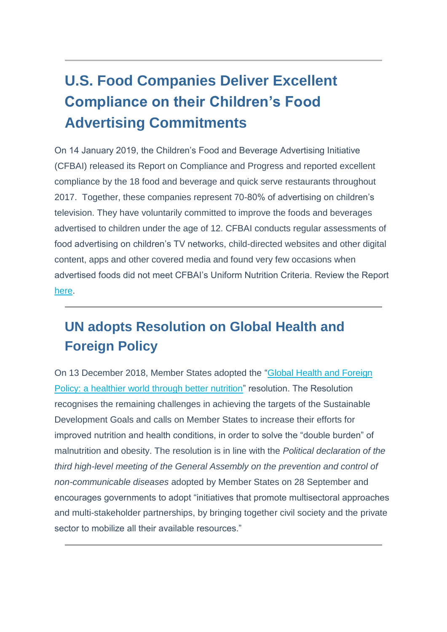#### **U.S. Food Companies Deliver Excellent Compliance on their Children's Food Advertising Commitments**

On 14 January 2019, the Children's Food and Beverage Advertising Initiative (CFBAI) released its Report on Compliance and Progress and reported excellent compliance by the 18 food and beverage and quick serve restaurants throughout 2017. Together, these companies represent 70-80% of advertising on children's television. They have voluntarily committed to improve the foods and beverages advertised to children under the age of 12. CFBAI conducts regular assessments of food advertising on children's TV networks, child-directed websites and other digital content, apps and other covered media and found very few occasions when advertised foods did not meet CFBAI's Uniform Nutrition Criteria. Review the Report [here.](https://bbbprograms.org/siteassets/documents/cfbai/2017-cfbai-progress-report.pdf)

#### **UN adopts Resolution on Global Health and Foreign Policy**

On 13 December 2018, Member States adopted the ["Global Health and Foreign](http://undocs.org/A/73/L.62)  [Policy: a healthier world through better nutrition"](http://undocs.org/A/73/L.62) resolution. The Resolution recognises the remaining challenges in achieving the targets of the Sustainable Development Goals and calls on Member States to increase their efforts for improved nutrition and health conditions, in order to solve the "double burden" of malnutrition and obesity. The resolution is in line with the *Political declaration of the third high-level meeting of the General Assembly on the prevention and control of non-communicable diseases* adopted by Member States on 28 September and encourages governments to adopt "initiatives that promote multisectoral approaches and multi-stakeholder partnerships, by bringing together civil society and the private sector to mobilize all their available resources."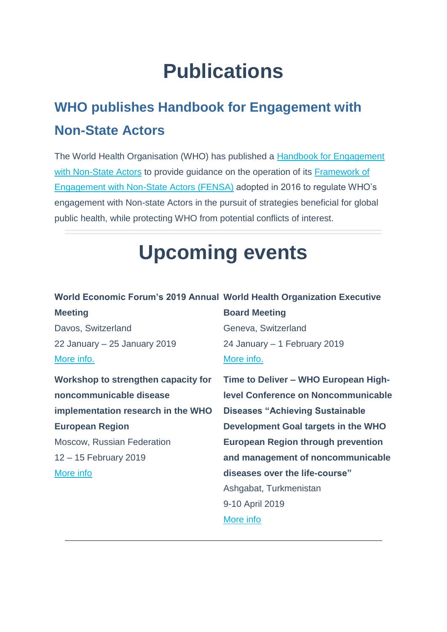# **Publications**

### **WHO publishes Handbook for Engagement with Non-State Actors**

The World Health Organisation (WHO) has published a [Handbook for Engagement](https://www.who.int/about/collaborations/non-state-actors/Handbook-for-non-State-actors-on-engagement-with-WHO.pdf?ua=1)  [with Non-State Actors](https://www.who.int/about/collaborations/non-state-actors/Handbook-for-non-State-actors-on-engagement-with-WHO.pdf?ua=1) to provide guidance on the operation of its Framework of [Engagement with Non-State Actors \(FENSA\)](https://www.who.int/about/collaborations/non-state-actors/A69_R10-FENSA-en.pdf?ua=1&ua=1) adopted in 2016 to regulate WHO's engagement with Non-state Actors in the pursuit of strategies beneficial for global public health, while protecting WHO from potential conflicts of interest.

# **Upcoming events**

#### World Economic Forum's 2019 Annual World Health Organization Executive

| <b>Meeting</b>                      | <b>Board Meeting</b>                       |
|-------------------------------------|--------------------------------------------|
| Davos, Switzerland                  | Geneva, Switzerland                        |
| 22 January $-25$ January 2019       | 24 January – 1 February 2019               |
| More info.                          | More info.                                 |
| Workshop to strengthen capacity for | Time to Deliver - WHO European High-       |
| noncommunicable disease             | <b>Level Conference on Noncommunicable</b> |
| implementation research in the WHO  | <b>Diseases "Achieving Sustainable</b>     |
| <b>European Region</b>              | Development Goal targets in the WHO        |
| <b>Moscow, Russian Federation</b>   | <b>European Region through prevention</b>  |
| 12 – 15 February 2019               | and management of noncommunicable          |
| More info                           | diseases over the life-course"             |
|                                     | Ashgabat, Turkmenistan                     |
|                                     | 9-10 April 2019                            |
|                                     | More info                                  |